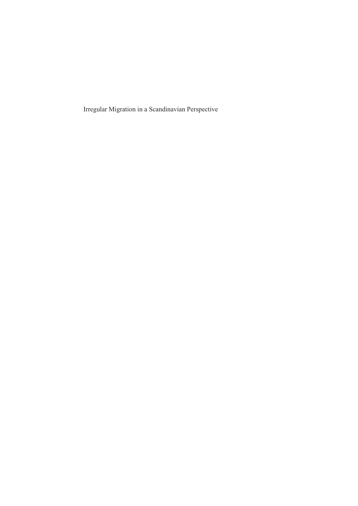Irregular Migration in a Scandinavian Perspective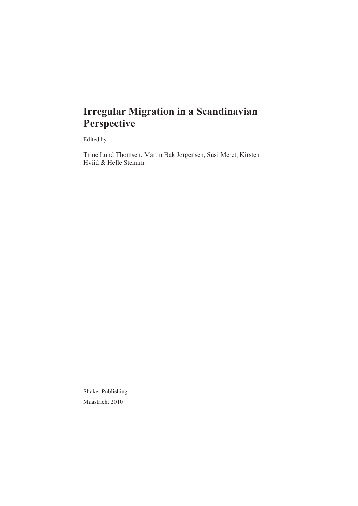## **Irregular Migration in a Scandinavian Perspective**

Edited by

Trine Lund Thomsen, Martin Bak Jørgensen, Susi Meret, Kirsten Hviid & Helle Stenum

Shaker Publishing Maastricht 2010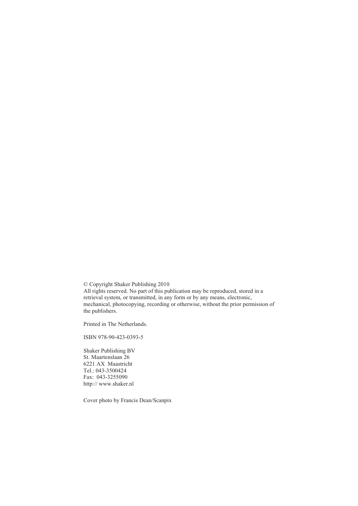© Copyright Shaker Publishing 2010

All rights reserved. No part of this publication may be reproduced, stored in a retrieval system, or transmitted, in any form or by any means, electronic, mechanical, photocopying, recording or otherwise, without the prior permission of the publishers.

Printed in The Netherlands.

ISBN 978-90-423-0393-5

Shaker Publishing BV St. Maartenslaan 26 6221 AX Maastricht Tel.: 043-3500424 Fax: 043-3255090 http:// www.shaker.nl

Cover photo by Francis Dean/Scanpix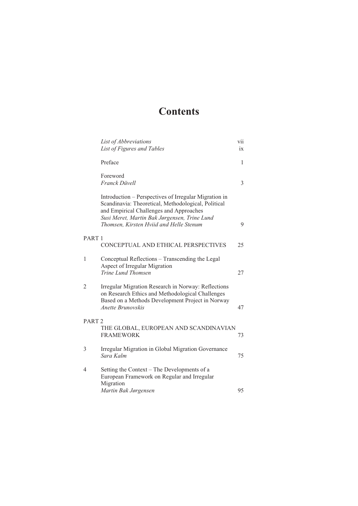## **Contents**

|                   | List of Abbreviations<br>List of Figures and Tables                                                                                                                                                                                                | vii<br>ix    |
|-------------------|----------------------------------------------------------------------------------------------------------------------------------------------------------------------------------------------------------------------------------------------------|--------------|
|                   | Preface                                                                                                                                                                                                                                            | $\mathbf{1}$ |
|                   | Foreword<br><b>Franck Düvell</b>                                                                                                                                                                                                                   | 3            |
|                   | Introduction – Perspectives of Irregular Migration in<br>Scandinavia: Theoretical, Methodological, Political<br>and Empirical Challenges and Approaches<br>Susi Meret, Martin Bak Jørgensen, Trine Lund<br>Thomsen, Kirsten Hviid and Helle Stenum | 9            |
| PART <sub>1</sub> | CONCEPTUAL AND ETHICAL PERSPECTIVES                                                                                                                                                                                                                | 25           |
| 1                 | Conceptual Reflections – Transcending the Legal<br>Aspect of Irregular Migration<br>Trine Lund Thomsen                                                                                                                                             | 27           |
| $\overline{2}$    | Irregular Migration Research in Norway: Reflections<br>on Research Ethics and Methodological Challenges<br>Based on a Methods Development Project in Norway<br>Anette Brunovskis                                                                   | 47           |
| PART <sub>2</sub> | THE GLOBAL, EUROPEAN AND SCANDINAVIAN<br><b>FRAMEWORK</b>                                                                                                                                                                                          | 73           |
| 3                 | Irregular Migration in Global Migration Governance<br>Sara Kalm                                                                                                                                                                                    | 75           |
| 4                 | Setting the Context - The Developments of a<br>European Framework on Regular and Irregular<br>Migration                                                                                                                                            |              |
|                   | Martin Bak Jørgensen                                                                                                                                                                                                                               | 95           |